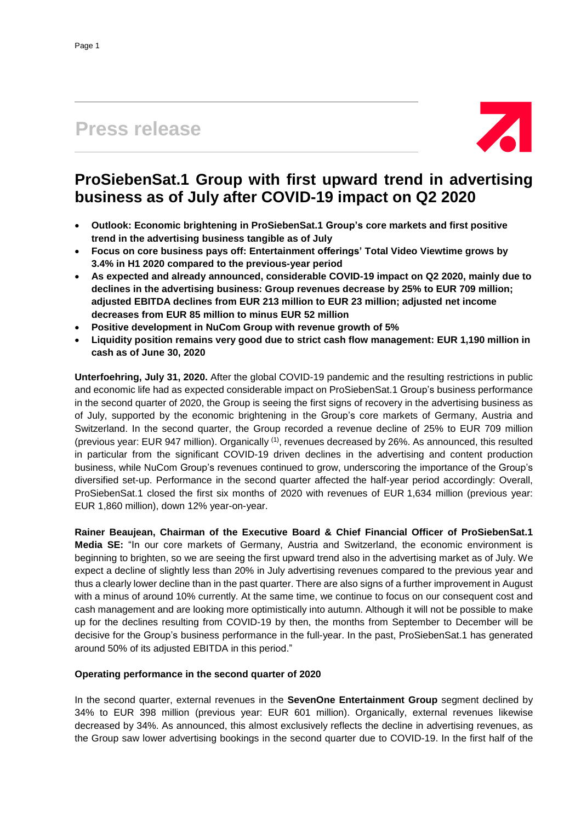# **Press release**



# **ProSiebenSat.1 Group with first upward trend in advertising business as of July after COVID-19 impact on Q2 2020**

- **Outlook: Economic brightening in ProSiebenSat.1 Group's core markets and first positive trend in the advertising business tangible as of July**
- **Focus on core business pays off: Entertainment offerings' Total Video Viewtime grows by 3.4% in H1 2020 compared to the previous-year period**
- **As expected and already announced, considerable COVID-19 impact on Q2 2020, mainly due to declines in the advertising business: Group revenues decrease by 25% to EUR 709 million; adjusted EBITDA declines from EUR 213 million to EUR 23 million; adjusted net income decreases from EUR 85 million to minus EUR 52 million**
- **Positive development in NuCom Group with revenue growth of 5%**
- **Liquidity position remains very good due to strict cash flow management: EUR 1,190 million in cash as of June 30, 2020**

**Unterfoehring, July 31, 2020.** After the global COVID-19 pandemic and the resulting restrictions in public and economic life had as expected considerable impact on ProSiebenSat.1 Group's business performance in the second quarter of 2020, the Group is seeing the first signs of recovery in the advertising business as of July, supported by the economic brightening in the Group's core markets of Germany, Austria and Switzerland. In the second quarter, the Group recorded a revenue decline of 25% to EUR 709 million (previous year: EUR 947 million). Organically (1) , revenues decreased by 26%. As announced, this resulted in particular from the significant COVID-19 driven declines in the advertising and content production business, while NuCom Group's revenues continued to grow, underscoring the importance of the Group's diversified set-up. Performance in the second quarter affected the half-year period accordingly: Overall, ProSiebenSat.1 closed the first six months of 2020 with revenues of EUR 1,634 million (previous year: EUR 1,860 million), down 12% year-on-year.

**Rainer Beaujean, Chairman of the Executive Board & Chief Financial Officer of ProSiebenSat.1 Media SE:** "In our core markets of Germany, Austria and Switzerland, the economic environment is beginning to brighten, so we are seeing the first upward trend also in the advertising market as of July. We expect a decline of slightly less than 20% in July advertising revenues compared to the previous year and thus a clearly lower decline than in the past quarter. There are also signs of a further improvement in August with a minus of around 10% currently. At the same time, we continue to focus on our consequent cost and cash management and are looking more optimistically into autumn. Although it will not be possible to make up for the declines resulting from COVID-19 by then, the months from September to December will be decisive for the Group's business performance in the full-year. In the past, ProSiebenSat.1 has generated around 50% of its adjusted EBITDA in this period."

## **Operating performance in the second quarter of 2020**

In the second quarter, external revenues in the **SevenOne Entertainment Group** segment declined by 34% to EUR 398 million (previous year: EUR 601 million). Organically, external revenues likewise decreased by 34%. As announced, this almost exclusively reflects the decline in advertising revenues, as the Group saw lower advertising bookings in the second quarter due to COVID-19. In the first half of the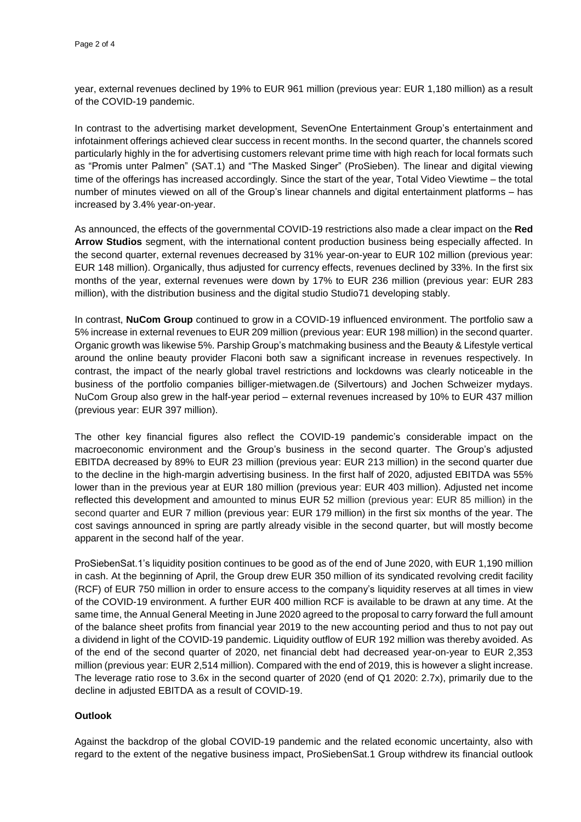year, external revenues declined by 19% to EUR 961 million (previous year: EUR 1,180 million) as a result of the COVID-19 pandemic.

In contrast to the advertising market development, SevenOne Entertainment Group's entertainment and infotainment offerings achieved clear success in recent months. In the second quarter, the channels scored particularly highly in the for advertising customers relevant prime time with high reach for local formats such as "Promis unter Palmen" (SAT.1) and "The Masked Singer" (ProSieben). The linear and digital viewing time of the offerings has increased accordingly. Since the start of the year, Total Video Viewtime – the total number of minutes viewed on all of the Group's linear channels and digital entertainment platforms – has increased by 3.4% year-on-year.

As announced, the effects of the governmental COVID-19 restrictions also made a clear impact on the **Red Arrow Studios** segment, with the international content production business being especially affected. In the second quarter, external revenues decreased by 31% year-on-year to EUR 102 million (previous year: EUR 148 million). Organically, thus adjusted for currency effects, revenues declined by 33%. In the first six months of the year, external revenues were down by 17% to EUR 236 million (previous year: EUR 283 million), with the distribution business and the digital studio Studio71 developing stably.

In contrast, **NuCom Group** continued to grow in a COVID-19 influenced environment. The portfolio saw a 5% increase in external revenues to EUR 209 million (previous year: EUR 198 million) in the second quarter. Organic growth was likewise 5%. Parship Group's matchmaking business and the Beauty & Lifestyle vertical around the online beauty provider Flaconi both saw a significant increase in revenues respectively. In contrast, the impact of the nearly global travel restrictions and lockdowns was clearly noticeable in the business of the portfolio companies billiger-mietwagen.de (Silvertours) and Jochen Schweizer mydays. NuCom Group also grew in the half-year period – external revenues increased by 10% to EUR 437 million (previous year: EUR 397 million).

The other key financial figures also reflect the COVID-19 pandemic's considerable impact on the macroeconomic environment and the Group's business in the second quarter. The Group's adjusted EBITDA decreased by 89% to EUR 23 million (previous year: EUR 213 million) in the second quarter due to the decline in the high-margin advertising business. In the first half of 2020, adjusted EBITDA was 55% lower than in the previous year at EUR 180 million (previous year: EUR 403 million). Adjusted net income reflected this development and amounted to minus EUR 52 million (previous year: EUR 85 million) in the second quarter and EUR 7 million (previous year: EUR 179 million) in the first six months of the year. The cost savings announced in spring are partly already visible in the second quarter, but will mostly become apparent in the second half of the year.

ProSiebenSat.1's liquidity position continues to be good as of the end of June 2020, with EUR 1,190 million in cash. At the beginning of April, the Group drew EUR 350 million of its syndicated revolving credit facility (RCF) of EUR 750 million in order to ensure access to the company's liquidity reserves at all times in view of the COVID-19 environment. A further EUR 400 million RCF is available to be drawn at any time. At the same time, the Annual General Meeting in June 2020 agreed to the proposal to carry forward the full amount of the balance sheet profits from financial year 2019 to the new accounting period and thus to not pay out a dividend in light of the COVID-19 pandemic. Liquidity outflow of EUR 192 million was thereby avoided. As of the end of the second quarter of 2020, net financial debt had decreased year-on-year to EUR 2,353 million (previous year: EUR 2,514 million). Compared with the end of 2019, this is however a slight increase. The leverage ratio rose to 3.6x in the second quarter of 2020 (end of Q1 2020: 2.7x), primarily due to the decline in adjusted EBITDA as a result of COVID-19.

## **Outlook**

Against the backdrop of the global COVID-19 pandemic and the related economic uncertainty, also with regard to the extent of the negative business impact, ProSiebenSat.1 Group withdrew its financial outlook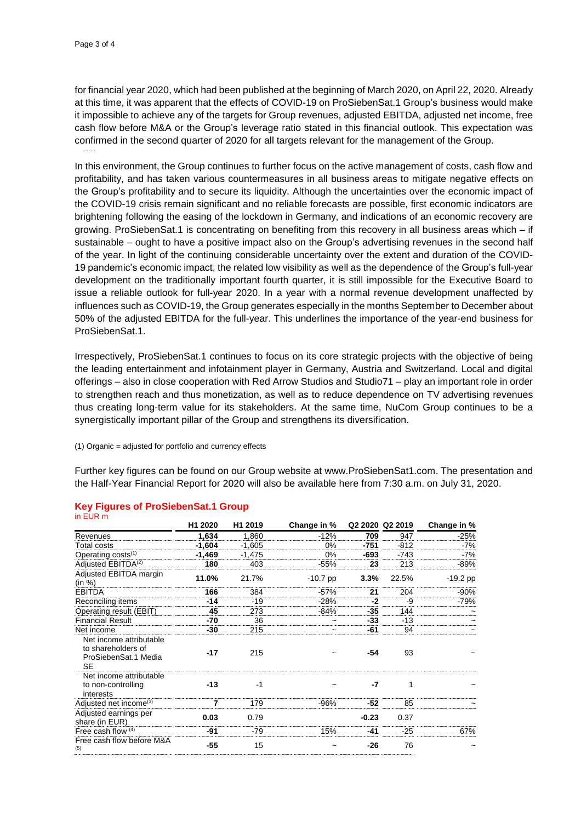for financial year 2020, which had been published at the beginning of March 2020, on April 22, 2020. Already at this time, it was apparent that the effects of COVID-19 on ProSiebenSat.1 Group's business would make it impossible to achieve any of the targets for Group revenues, adjusted EBITDA, adjusted net income, free cash flow before M&A or the Group's leverage ratio stated in this financial outlook. This expectation was confirmed in the second quarter of 2020 for all targets relevant for the management of the Group.

In this environment, the Group continues to further focus on the active management of costs, cash flow and profitability, and has taken various countermeasures in all business areas to mitigate negative effects on the Group's profitability and to secure its liquidity. Although the uncertainties over the economic impact of the COVID-19 crisis remain significant and no reliable forecasts are possible, first economic indicators are brightening following the easing of the lockdown in Germany, and indications of an economic recovery are growing. ProSiebenSat.1 is concentrating on benefiting from this recovery in all business areas which – if sustainable – ought to have a positive impact also on the Group's advertising revenues in the second half of the year. In light of the continuing considerable uncertainty over the extent and duration of the COVID-19 pandemic's economic impact, the related low visibility as well as the dependence of the Group's full-year development on the traditionally important fourth quarter, it is still impossible for the Executive Board to issue a reliable outlook for full-year 2020. In a year with a normal revenue development unaffected by influences such as COVID-19, the Group generates especially in the months September to December about 50% of the adjusted EBITDA for the full-year. This underlines the importance of the year-end business for ProSiebenSat.1.

Irrespectively, ProSiebenSat.1 continues to focus on its core strategic projects with the objective of being the leading entertainment and infotainment player in Germany, Austria and Switzerland. Local and digital offerings – also in close cooperation with Red Arrow Studios and Studio71 – play an important role in order to strengthen reach and thus monetization, as well as to reduce dependence on TV advertising revenues thus creating long-term value for its stakeholders. At the same time, NuCom Group continues to be a synergistically important pillar of the Group and strengthens its diversification.

#### (1) Organic = adjusted for portfolio and currency effects

Further key figures can be found on our Group website at www.ProSiebenSat1.com. The presentation and the Half-Year Financial Report for 2020 will also be available here from 7:30 a.m. on July 31, 2020.

|                                                                                    | H1 2020  | H1 2019  | Change in % |         | Q2 2020 Q2 2019 | Change in % |
|------------------------------------------------------------------------------------|----------|----------|-------------|---------|-----------------|-------------|
| Revenues                                                                           | 1.634    | 1,860    | $-12%$      | 709     | 947             | $-25%$      |
| Total costs                                                                        | $-1.604$ | $-1,605$ | 0%          | -751    | $-812$          | $-7%$       |
| Operating costs <sup>(1)</sup>                                                     | $-1,469$ | $-1,475$ | 0%          | -693    | $-743$          | $-7%$       |
| Adjusted EBITDA <sup>(2)</sup>                                                     | 180      | 403      | $-55%$      | 23      | 213             | $-89%$      |
| Adjusted EBITDA margin<br>(in %)                                                   | 11.0%    | 21.7%    | $-10.7$ pp  | 3.3%    | 22.5%           | $-19.2$ pp  |
| <b>EBITDA</b>                                                                      | 166      | 384      | $-57%$      | 21      | 204             | $-90%$      |
| Reconciling items                                                                  | $-14$    | $-19$    | $-28%$      | $-2$    | -9              | $-79%$      |
| Operating result (EBIT)                                                            | 45       | 273      | $-84%$      | $-35$   | 144             |             |
| <b>Financial Result</b>                                                            | -70      | 36       | $\tilde{}$  | $-33$   | $-13$           |             |
| Net income                                                                         | -30      | 215      |             | -61     | 94              |             |
| Net income attributable<br>to shareholders of<br>ProSiebenSat.1 Media<br><b>SE</b> | $-17$    | 215      |             | $-54$   | 93              |             |
| Net income attributable<br>to non-controlling<br>interests                         | $-13$    | $-1$     |             | -7      | 1               |             |
| Adjusted net income <sup>(3)</sup>                                                 | 7        | 179      | $-96%$      | -52     | 85              |             |
| Adjusted earnings per<br>share (in EUR)                                            | 0.03     | 0.79     |             | $-0.23$ | 0.37            |             |
| Free cash flow (4)                                                                 | $-91$    | -79      | 15%         | -41     | $-25$           | 67%         |
| Free cash flow before M&A<br>(5)                                                   | $-55$    | 15       | ~           | -26     | 76              |             |

#### **Key Figures of ProSiebenSat.1 Group** in EUR m